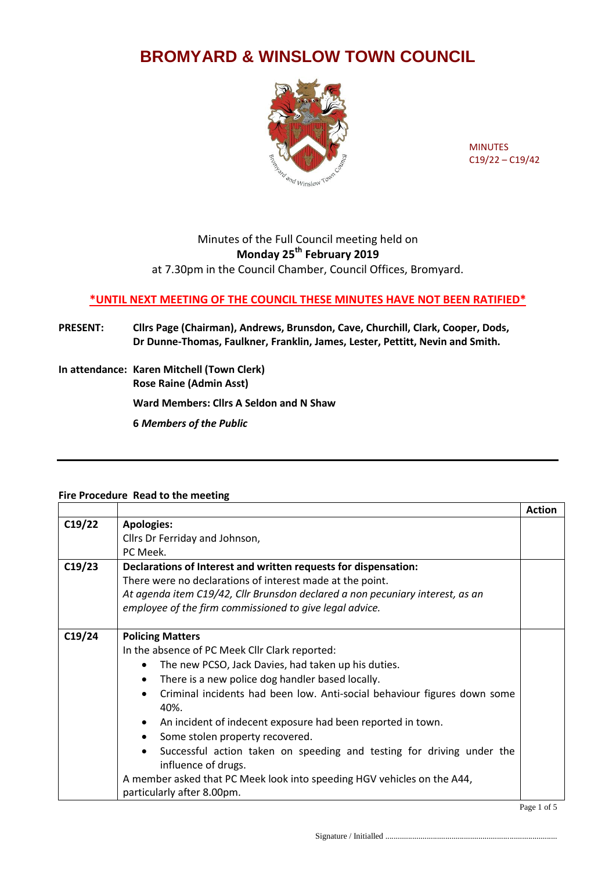# **BROMYARD & WINSLOW TOWN COUNCIL**



MINUTES C19/22 – C19/42

# Minutes of the Full Council meeting held on **Monday 25th February 2019**

at 7.30pm in the Council Chamber, Council Offices, Bromyard.

## **\*UNTIL NEXT MEETING OF THE COUNCIL THESE MINUTES HAVE NOT BEEN RATIFIED\***

### **PRESENT: Cllrs Page (Chairman), Andrews, Brunsdon, Cave, Churchill, Clark, Cooper, Dods, Dr Dunne-Thomas, Faulkner, Franklin, James, Lester, Pettitt, Nevin and Smith.**

**In attendance: Karen Mitchell (Town Clerk) Rose Raine (Admin Asst)**

**Ward Members: Cllrs A Seldon and N Shaw**

**6** *Members of the Public*

### **Fire Procedure Read to the meeting**

|        |                                                                                              | <b>Action</b> |
|--------|----------------------------------------------------------------------------------------------|---------------|
| C19/22 | <b>Apologies:</b>                                                                            |               |
|        | Cllrs Dr Ferriday and Johnson,                                                               |               |
|        | PC Meek.                                                                                     |               |
| C19/23 | Declarations of Interest and written requests for dispensation:                              |               |
|        | There were no declarations of interest made at the point.                                    |               |
|        | At agenda item C19/42, Cllr Brunsdon declared a non pecuniary interest, as an                |               |
|        | employee of the firm commissioned to give legal advice.                                      |               |
|        |                                                                                              |               |
| C19/24 | <b>Policing Matters</b>                                                                      |               |
|        | In the absence of PC Meek Cllr Clark reported:                                               |               |
|        | The new PCSO, Jack Davies, had taken up his duties.                                          |               |
|        | There is a new police dog handler based locally.                                             |               |
|        | Criminal incidents had been low. Anti-social behaviour figures down some<br>40%.             |               |
|        | An incident of indecent exposure had been reported in town.                                  |               |
|        | Some stolen property recovered.                                                              |               |
|        | Successful action taken on speeding and testing for driving under the<br>influence of drugs. |               |
|        | A member asked that PC Meek look into speeding HGV vehicles on the A44,                      |               |
|        | particularly after 8.00pm.                                                                   |               |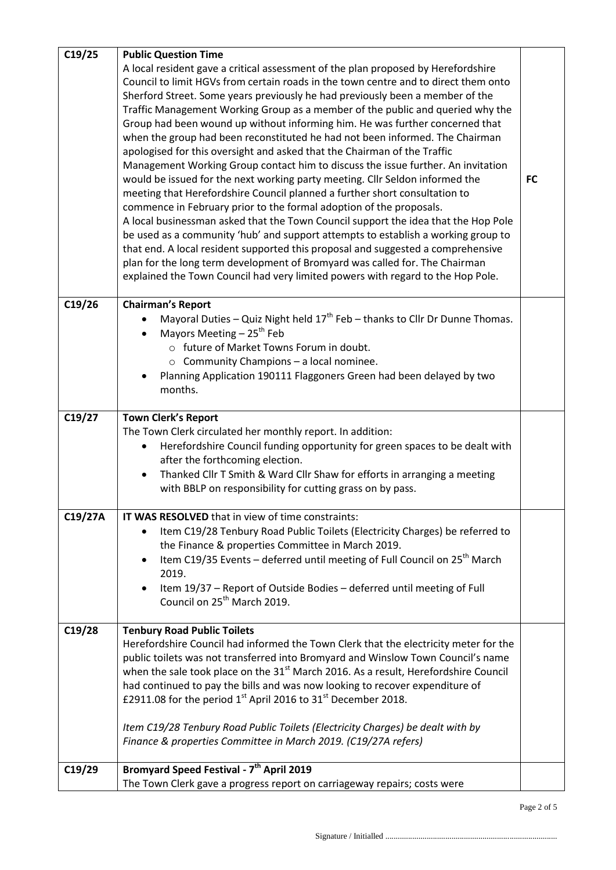| C19/25  | <b>Public Question Time</b>                                                                                                                                                                                                                                                                                                                                                                                                                                                                                                                                                                                                                                                                                                                                                                                                                                                                                                                                                                                                                                                                                                                                                                                                                                                                                                                       |           |
|---------|---------------------------------------------------------------------------------------------------------------------------------------------------------------------------------------------------------------------------------------------------------------------------------------------------------------------------------------------------------------------------------------------------------------------------------------------------------------------------------------------------------------------------------------------------------------------------------------------------------------------------------------------------------------------------------------------------------------------------------------------------------------------------------------------------------------------------------------------------------------------------------------------------------------------------------------------------------------------------------------------------------------------------------------------------------------------------------------------------------------------------------------------------------------------------------------------------------------------------------------------------------------------------------------------------------------------------------------------------|-----------|
|         | A local resident gave a critical assessment of the plan proposed by Herefordshire<br>Council to limit HGVs from certain roads in the town centre and to direct them onto<br>Sherford Street. Some years previously he had previously been a member of the<br>Traffic Management Working Group as a member of the public and queried why the<br>Group had been wound up without informing him. He was further concerned that<br>when the group had been reconstituted he had not been informed. The Chairman<br>apologised for this oversight and asked that the Chairman of the Traffic<br>Management Working Group contact him to discuss the issue further. An invitation<br>would be issued for the next working party meeting. Cllr Seldon informed the<br>meeting that Herefordshire Council planned a further short consultation to<br>commence in February prior to the formal adoption of the proposals.<br>A local businessman asked that the Town Council support the idea that the Hop Pole<br>be used as a community 'hub' and support attempts to establish a working group to<br>that end. A local resident supported this proposal and suggested a comprehensive<br>plan for the long term development of Bromyard was called for. The Chairman<br>explained the Town Council had very limited powers with regard to the Hop Pole. | <b>FC</b> |
| C19/26  | <b>Chairman's Report</b>                                                                                                                                                                                                                                                                                                                                                                                                                                                                                                                                                                                                                                                                                                                                                                                                                                                                                                                                                                                                                                                                                                                                                                                                                                                                                                                          |           |
|         | Mayoral Duties - Quiz Night held 17 <sup>th</sup> Feb - thanks to Cllr Dr Dunne Thomas.                                                                                                                                                                                                                                                                                                                                                                                                                                                                                                                                                                                                                                                                                                                                                                                                                                                                                                                                                                                                                                                                                                                                                                                                                                                           |           |
|         | Mayors Meeting $-25^{th}$ Feb<br>o future of Market Towns Forum in doubt.                                                                                                                                                                                                                                                                                                                                                                                                                                                                                                                                                                                                                                                                                                                                                                                                                                                                                                                                                                                                                                                                                                                                                                                                                                                                         |           |
|         | $\circ$ Community Champions - a local nominee.                                                                                                                                                                                                                                                                                                                                                                                                                                                                                                                                                                                                                                                                                                                                                                                                                                                                                                                                                                                                                                                                                                                                                                                                                                                                                                    |           |
|         | Planning Application 190111 Flaggoners Green had been delayed by two                                                                                                                                                                                                                                                                                                                                                                                                                                                                                                                                                                                                                                                                                                                                                                                                                                                                                                                                                                                                                                                                                                                                                                                                                                                                              |           |
|         | months.                                                                                                                                                                                                                                                                                                                                                                                                                                                                                                                                                                                                                                                                                                                                                                                                                                                                                                                                                                                                                                                                                                                                                                                                                                                                                                                                           |           |
| C19/27  | <b>Town Clerk's Report</b>                                                                                                                                                                                                                                                                                                                                                                                                                                                                                                                                                                                                                                                                                                                                                                                                                                                                                                                                                                                                                                                                                                                                                                                                                                                                                                                        |           |
|         | The Town Clerk circulated her monthly report. In addition:                                                                                                                                                                                                                                                                                                                                                                                                                                                                                                                                                                                                                                                                                                                                                                                                                                                                                                                                                                                                                                                                                                                                                                                                                                                                                        |           |
|         | Herefordshire Council funding opportunity for green spaces to be dealt with                                                                                                                                                                                                                                                                                                                                                                                                                                                                                                                                                                                                                                                                                                                                                                                                                                                                                                                                                                                                                                                                                                                                                                                                                                                                       |           |
|         | after the forthcoming election.<br>Thanked Cllr T Smith & Ward Cllr Shaw for efforts in arranging a meeting                                                                                                                                                                                                                                                                                                                                                                                                                                                                                                                                                                                                                                                                                                                                                                                                                                                                                                                                                                                                                                                                                                                                                                                                                                       |           |
|         | with BBLP on responsibility for cutting grass on by pass.                                                                                                                                                                                                                                                                                                                                                                                                                                                                                                                                                                                                                                                                                                                                                                                                                                                                                                                                                                                                                                                                                                                                                                                                                                                                                         |           |
| C19/27A | IT WAS RESOLVED that in view of time constraints:                                                                                                                                                                                                                                                                                                                                                                                                                                                                                                                                                                                                                                                                                                                                                                                                                                                                                                                                                                                                                                                                                                                                                                                                                                                                                                 |           |
|         | Item C19/28 Tenbury Road Public Toilets (Electricity Charges) be referred to<br>the Finance & properties Committee in March 2019.                                                                                                                                                                                                                                                                                                                                                                                                                                                                                                                                                                                                                                                                                                                                                                                                                                                                                                                                                                                                                                                                                                                                                                                                                 |           |
|         | Item C19/35 Events – deferred until meeting of Full Council on 25 <sup>th</sup> March                                                                                                                                                                                                                                                                                                                                                                                                                                                                                                                                                                                                                                                                                                                                                                                                                                                                                                                                                                                                                                                                                                                                                                                                                                                             |           |
|         | 2019.                                                                                                                                                                                                                                                                                                                                                                                                                                                                                                                                                                                                                                                                                                                                                                                                                                                                                                                                                                                                                                                                                                                                                                                                                                                                                                                                             |           |
|         | Item 19/37 - Report of Outside Bodies - deferred until meeting of Full<br>Council on 25 <sup>th</sup> March 2019.                                                                                                                                                                                                                                                                                                                                                                                                                                                                                                                                                                                                                                                                                                                                                                                                                                                                                                                                                                                                                                                                                                                                                                                                                                 |           |
|         |                                                                                                                                                                                                                                                                                                                                                                                                                                                                                                                                                                                                                                                                                                                                                                                                                                                                                                                                                                                                                                                                                                                                                                                                                                                                                                                                                   |           |
| C19/28  | <b>Tenbury Road Public Toilets</b>                                                                                                                                                                                                                                                                                                                                                                                                                                                                                                                                                                                                                                                                                                                                                                                                                                                                                                                                                                                                                                                                                                                                                                                                                                                                                                                |           |
|         | Herefordshire Council had informed the Town Clerk that the electricity meter for the<br>public toilets was not transferred into Bromyard and Winslow Town Council's name                                                                                                                                                                                                                                                                                                                                                                                                                                                                                                                                                                                                                                                                                                                                                                                                                                                                                                                                                                                                                                                                                                                                                                          |           |
|         | when the sale took place on the 31 <sup>st</sup> March 2016. As a result, Herefordshire Council                                                                                                                                                                                                                                                                                                                                                                                                                                                                                                                                                                                                                                                                                                                                                                                                                                                                                                                                                                                                                                                                                                                                                                                                                                                   |           |
|         | had continued to pay the bills and was now looking to recover expenditure of                                                                                                                                                                                                                                                                                                                                                                                                                                                                                                                                                                                                                                                                                                                                                                                                                                                                                                                                                                                                                                                                                                                                                                                                                                                                      |           |
|         | £2911.08 for the period 1 <sup>st</sup> April 2016 to 31 <sup>st</sup> December 2018.                                                                                                                                                                                                                                                                                                                                                                                                                                                                                                                                                                                                                                                                                                                                                                                                                                                                                                                                                                                                                                                                                                                                                                                                                                                             |           |
|         | Item C19/28 Tenbury Road Public Toilets (Electricity Charges) be dealt with by                                                                                                                                                                                                                                                                                                                                                                                                                                                                                                                                                                                                                                                                                                                                                                                                                                                                                                                                                                                                                                                                                                                                                                                                                                                                    |           |
|         | Finance & properties Committee in March 2019. (C19/27A refers)                                                                                                                                                                                                                                                                                                                                                                                                                                                                                                                                                                                                                                                                                                                                                                                                                                                                                                                                                                                                                                                                                                                                                                                                                                                                                    |           |
| C19/29  | Bromyard Speed Festival - 7 <sup>th</sup> April 2019                                                                                                                                                                                                                                                                                                                                                                                                                                                                                                                                                                                                                                                                                                                                                                                                                                                                                                                                                                                                                                                                                                                                                                                                                                                                                              |           |
|         | The Town Clerk gave a progress report on carriageway repairs; costs were                                                                                                                                                                                                                                                                                                                                                                                                                                                                                                                                                                                                                                                                                                                                                                                                                                                                                                                                                                                                                                                                                                                                                                                                                                                                          |           |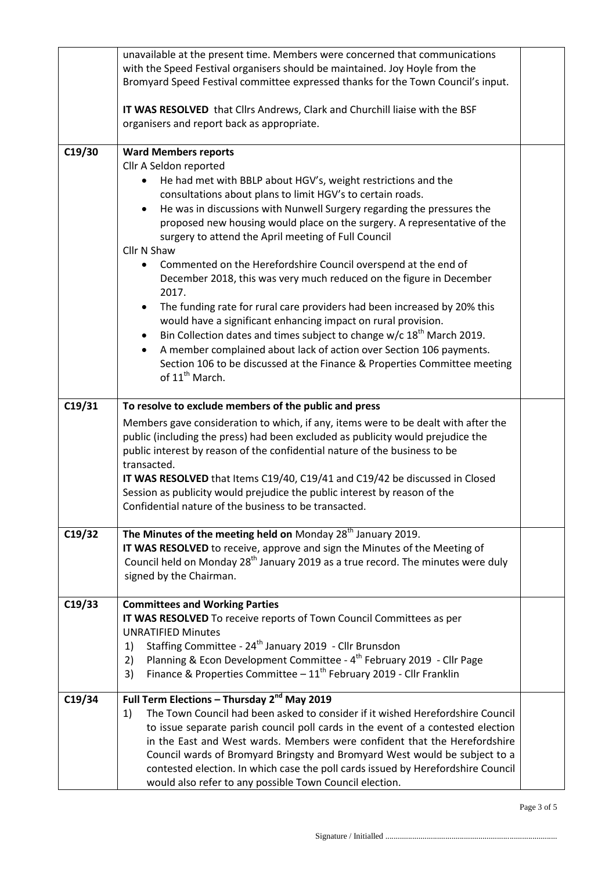|        | unavailable at the present time. Members were concerned that communications<br>with the Speed Festival organisers should be maintained. Joy Hoyle from the<br>Bromyard Speed Festival committee expressed thanks for the Town Council's input.<br>IT WAS RESOLVED that Cllrs Andrews, Clark and Churchill liaise with the BSF<br>organisers and report back as appropriate.                                                                                                                                                                                                                                                                                                                                                                                                                                                                                                                                                                                                              |  |
|--------|------------------------------------------------------------------------------------------------------------------------------------------------------------------------------------------------------------------------------------------------------------------------------------------------------------------------------------------------------------------------------------------------------------------------------------------------------------------------------------------------------------------------------------------------------------------------------------------------------------------------------------------------------------------------------------------------------------------------------------------------------------------------------------------------------------------------------------------------------------------------------------------------------------------------------------------------------------------------------------------|--|
| C19/30 | <b>Ward Members reports</b><br>Cllr A Seldon reported<br>He had met with BBLP about HGV's, weight restrictions and the<br>consultations about plans to limit HGV's to certain roads.<br>He was in discussions with Nunwell Surgery regarding the pressures the<br>proposed new housing would place on the surgery. A representative of the<br>surgery to attend the April meeting of Full Council<br>Cllr N Shaw<br>Commented on the Herefordshire Council overspend at the end of<br>December 2018, this was very much reduced on the figure in December<br>2017.<br>The funding rate for rural care providers had been increased by 20% this<br>would have a significant enhancing impact on rural provision.<br>Bin Collection dates and times subject to change $w/c$ 18 <sup>th</sup> March 2019.<br>A member complained about lack of action over Section 106 payments.<br>Section 106 to be discussed at the Finance & Properties Committee meeting<br>of 11 <sup>th</sup> March. |  |
| C19/31 | To resolve to exclude members of the public and press<br>Members gave consideration to which, if any, items were to be dealt with after the<br>public (including the press) had been excluded as publicity would prejudice the<br>public interest by reason of the confidential nature of the business to be<br>transacted.<br>IT WAS RESOLVED that Items C19/40, C19/41 and C19/42 be discussed in Closed<br>Session as publicity would prejudice the public interest by reason of the<br>Confidential nature of the business to be transacted.                                                                                                                                                                                                                                                                                                                                                                                                                                         |  |
| C19/32 | The Minutes of the meeting held on Monday $28th$ January 2019.<br>IT WAS RESOLVED to receive, approve and sign the Minutes of the Meeting of<br>Council held on Monday 28 <sup>th</sup> January 2019 as a true record. The minutes were duly<br>signed by the Chairman.                                                                                                                                                                                                                                                                                                                                                                                                                                                                                                                                                                                                                                                                                                                  |  |
| C19/33 | <b>Committees and Working Parties</b><br>IT WAS RESOLVED To receive reports of Town Council Committees as per<br><b>UNRATIFIED Minutes</b><br>Staffing Committee - 24 <sup>th</sup> January 2019 - Cllr Brunsdon<br>1)<br>Planning & Econ Development Committee - 4 <sup>th</sup> February 2019 - Cllr Page<br>2)<br>Finance & Properties Committee $-11^{th}$ February 2019 - Cllr Franklin<br>3)                                                                                                                                                                                                                                                                                                                                                                                                                                                                                                                                                                                       |  |
| C19/34 | Full Term Elections - Thursday 2 <sup>nd</sup> May 2019<br>The Town Council had been asked to consider if it wished Herefordshire Council<br>1)<br>to issue separate parish council poll cards in the event of a contested election<br>in the East and West wards. Members were confident that the Herefordshire<br>Council wards of Bromyard Bringsty and Bromyard West would be subject to a<br>contested election. In which case the poll cards issued by Herefordshire Council<br>would also refer to any possible Town Council election.                                                                                                                                                                                                                                                                                                                                                                                                                                            |  |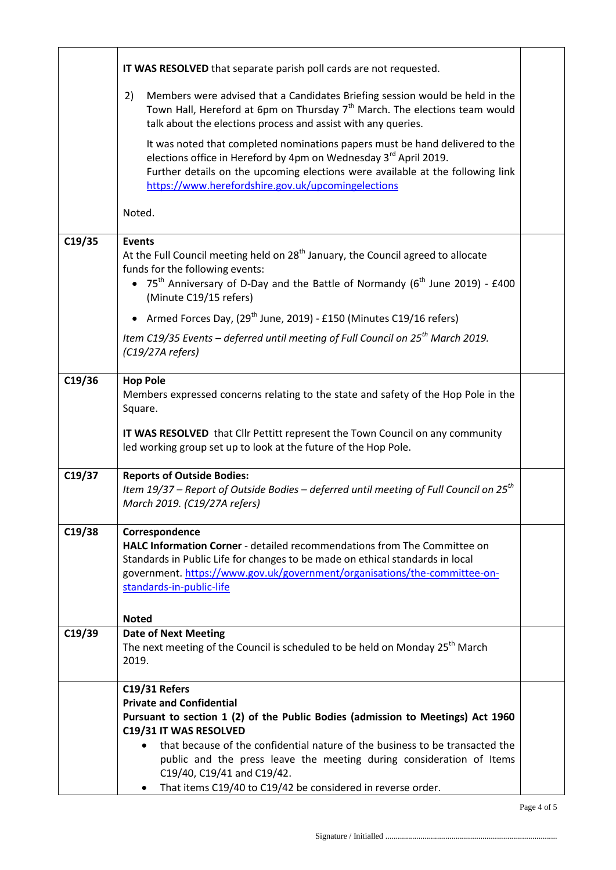|        | IT WAS RESOLVED that separate parish poll cards are not requested.                                                                                                                                                                                                                                   |  |
|--------|------------------------------------------------------------------------------------------------------------------------------------------------------------------------------------------------------------------------------------------------------------------------------------------------------|--|
|        | Members were advised that a Candidates Briefing session would be held in the<br>2)<br>Town Hall, Hereford at 6pm on Thursday 7 <sup>th</sup> March. The elections team would<br>talk about the elections process and assist with any queries.                                                        |  |
|        | It was noted that completed nominations papers must be hand delivered to the<br>elections office in Hereford by 4pm on Wednesday 3 <sup>rd</sup> April 2019.<br>Further details on the upcoming elections were available at the following link<br>https://www.herefordshire.gov.uk/upcomingelections |  |
|        | Noted.                                                                                                                                                                                                                                                                                               |  |
|        |                                                                                                                                                                                                                                                                                                      |  |
| C19/35 | <b>Events</b><br>At the Full Council meeting held on 28 <sup>th</sup> January, the Council agreed to allocate<br>funds for the following events:<br>• 75 <sup>th</sup> Anniversary of D-Day and the Battle of Normandy (6 <sup>th</sup> June 2019) - £400<br>(Minute C19/15 refers)                  |  |
|        | Armed Forces Day, (29 <sup>th</sup> June, 2019) - £150 (Minutes C19/16 refers)                                                                                                                                                                                                                       |  |
|        | Item C19/35 Events – deferred until meeting of Full Council on $25th$ March 2019.<br>$(C19/27A$ refers)                                                                                                                                                                                              |  |
| C19/36 | <b>Hop Pole</b><br>Members expressed concerns relating to the state and safety of the Hop Pole in the<br>Square.                                                                                                                                                                                     |  |
|        | IT WAS RESOLVED that Cllr Pettitt represent the Town Council on any community<br>led working group set up to look at the future of the Hop Pole.                                                                                                                                                     |  |
| C19/37 | <b>Reports of Outside Bodies:</b><br>Item 19/37 – Report of Outside Bodies – deferred until meeting of Full Council on $25^{th}$<br>March 2019. (C19/27A refers)                                                                                                                                     |  |
| C19/38 | Correspondence                                                                                                                                                                                                                                                                                       |  |
|        | <b>HALC Information Corner</b> - detailed recommendations from The Committee on                                                                                                                                                                                                                      |  |
|        | Standards in Public Life for changes to be made on ethical standards in local                                                                                                                                                                                                                        |  |
|        | government. https://www.gov.uk/government/organisations/the-committee-on-                                                                                                                                                                                                                            |  |
|        | standards-in-public-life                                                                                                                                                                                                                                                                             |  |
|        |                                                                                                                                                                                                                                                                                                      |  |
| C19/39 | <b>Noted</b>                                                                                                                                                                                                                                                                                         |  |
|        | <b>Date of Next Meeting</b><br>The next meeting of the Council is scheduled to be held on Monday 25 <sup>th</sup> March                                                                                                                                                                              |  |
|        | 2019.                                                                                                                                                                                                                                                                                                |  |
|        | C19/31 Refers                                                                                                                                                                                                                                                                                        |  |
|        | <b>Private and Confidential</b>                                                                                                                                                                                                                                                                      |  |
|        | Pursuant to section 1 (2) of the Public Bodies (admission to Meetings) Act 1960<br>C19/31 IT WAS RESOLVED                                                                                                                                                                                            |  |
|        | that because of the confidential nature of the business to be transacted the<br>$\bullet$<br>public and the press leave the meeting during consideration of Items<br>C19/40, C19/41 and C19/42.                                                                                                      |  |
|        | That items C19/40 to C19/42 be considered in reverse order.<br>$\bullet$                                                                                                                                                                                                                             |  |